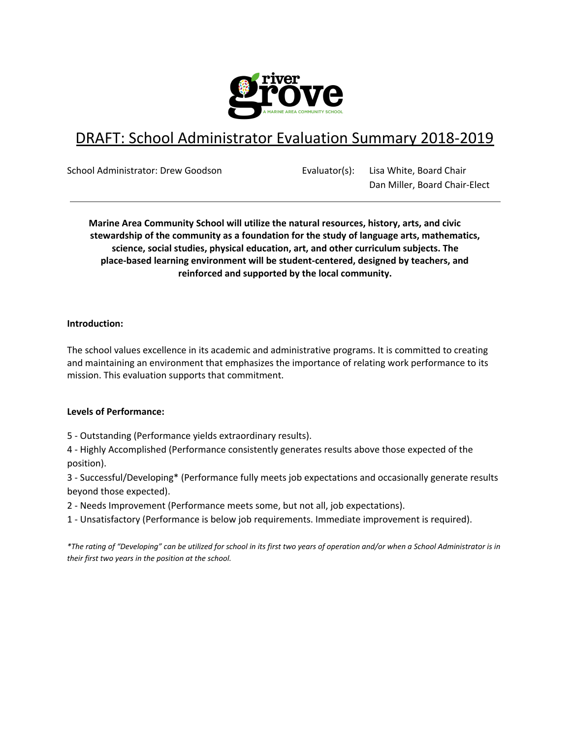

# DRAFT: School Administrator Evaluation Summary 2018-2019

School Administrator: Drew Goodson Evaluator(s): Lisa White, Board Chair Dan Miller, Board Chair-Elect

**Marine Area Community School will utilize the natural resources, history, arts, and civic stewardship of the community as a foundation for the study of language arts, mathematics, science, social studies, physical education, art, and other curriculum subjects. The place-based learning environment will be student-centered, designed by teachers, and reinforced and supported by the local community.**

# **Introduction:**

The school values excellence in its academic and administrative programs. It is committed to creating and maintaining an environment that emphasizes the importance of relating work performance to its mission. This evaluation supports that commitment.

# **Levels of Performance:**

5 - Outstanding (Performance yields extraordinary results).

4 - Highly Accomplished (Performance consistently generates results above those expected of the position).

3 - Successful/Developing\* (Performance fully meets job expectations and occasionally generate results beyond those expected).

2 - Needs Improvement (Performance meets some, but not all, job expectations).

1 - Unsatisfactory (Performance is below job requirements. Immediate improvement is required).

*\*The rating of "Developing" can be utilized for school in its first two years of operation and/or when a School Administrator is in their first two years in the position at the school.*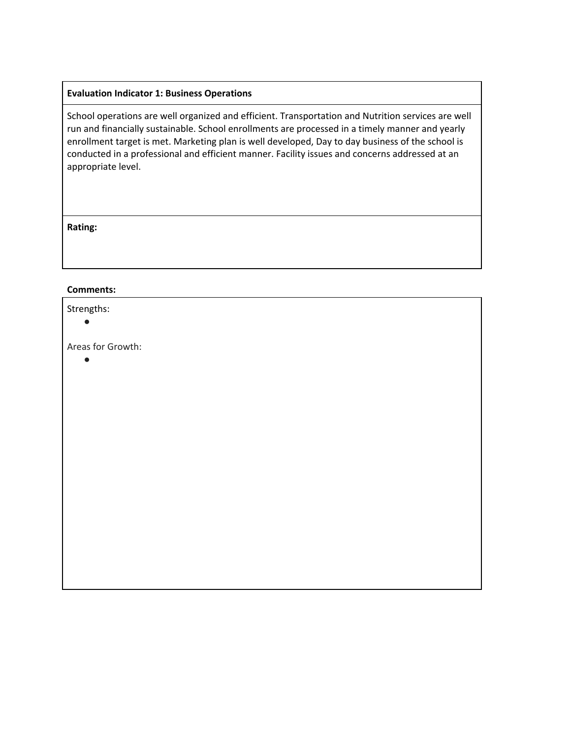# **Evaluation Indicator 1: Business Operations**

School operations are well organized and efficient. Transportation and Nutrition services are well run and financially sustainable. School enrollments are processed in a timely manner and yearly enrollment target is met. Marketing plan is well developed, Day to day business of the school is conducted in a professional and efficient manner. Facility issues and concerns addressed at an appropriate level.

**Rating:**

#### **Comments:**

#### Strengths:

 $\bullet$ 

Areas for Growth:

●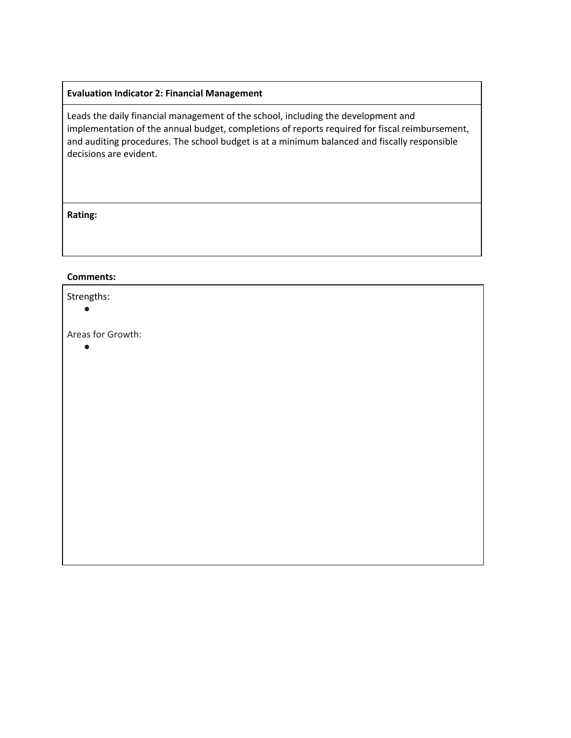# **Evaluation Indicator 2: Financial Management**

Leads the daily financial management of the school, including the development and implementation of the annual budget, completions of reports required for fiscal reimbursement, and auditing procedures. The school budget is at a minimum balanced and fiscally responsible decisions are evident.

#### **Rating:**

#### **Comments:**

Strengths: ● Areas for Growth: ●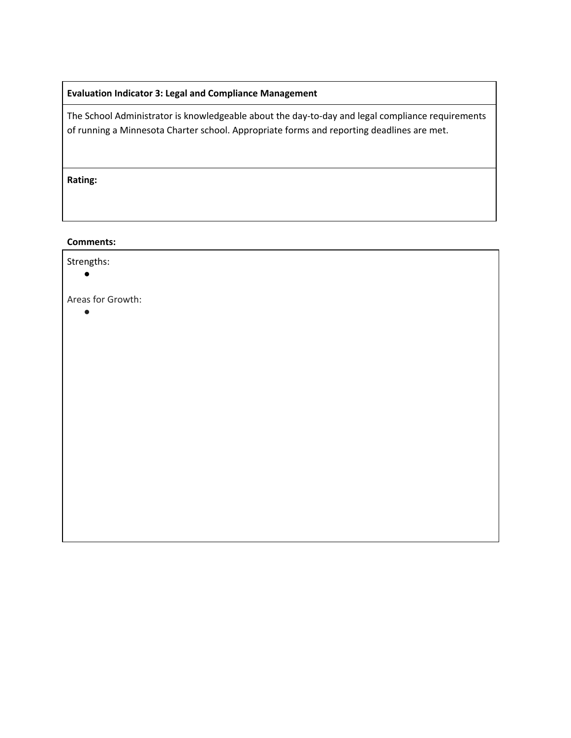# **Evaluation Indicator 3: Legal and Compliance Management**

The School Administrator is knowledgeable about the day-to-day and legal compliance requirements of running a Minnesota Charter school. Appropriate forms and reporting deadlines are met.

**Rating:**

#### **Comments:**

| Strengths:        |  |  |
|-------------------|--|--|
| Areas for Growth: |  |  |
|                   |  |  |
|                   |  |  |
|                   |  |  |
|                   |  |  |
|                   |  |  |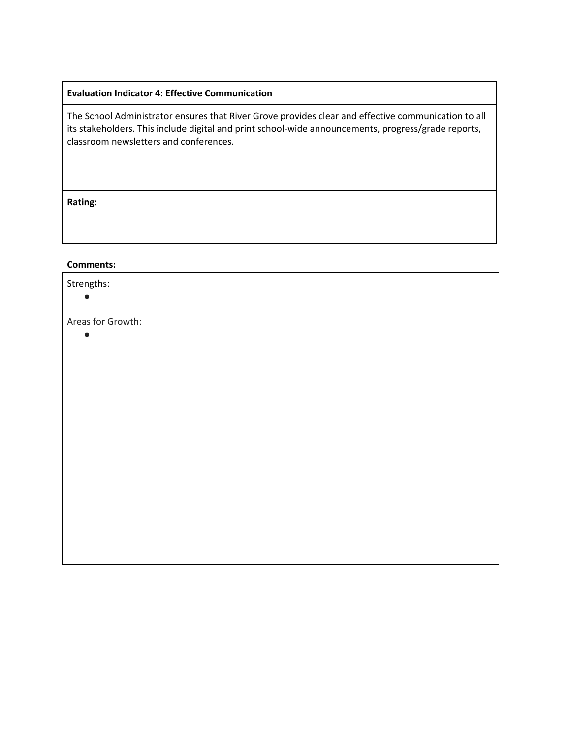# **Evaluation Indicator 4: Effective Communication**

The School Administrator ensures that River Grove provides clear and effective communication to all its stakeholders. This include digital and print school-wide announcements, progress/grade reports, classroom newsletters and conferences.

**Rating:**

#### **Comments:**

Strengths:

●

Areas for Growth:

●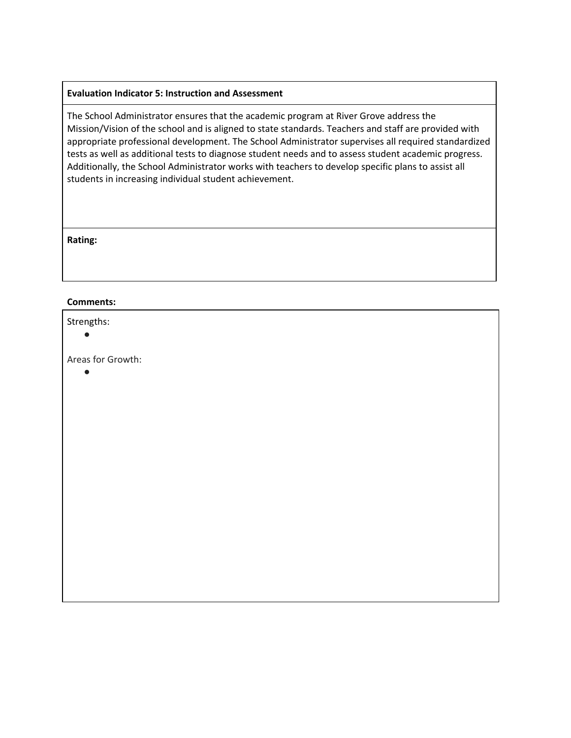#### **Evaluation Indicator 5: Instruction and Assessment**

The School Administrator ensures that the academic program at River Grove address the Mission/Vision of the school and is aligned to state standards. Teachers and staff are provided with appropriate professional development. The School Administrator supervises all required standardized tests as well as additional tests to diagnose student needs and to assess student academic progress. Additionally, the School Administrator works with teachers to develop specific plans to assist all students in increasing individual student achievement.

**Rating:**

#### **Comments:**

#### Strengths:

●

Areas for Growth:

 $\bullet$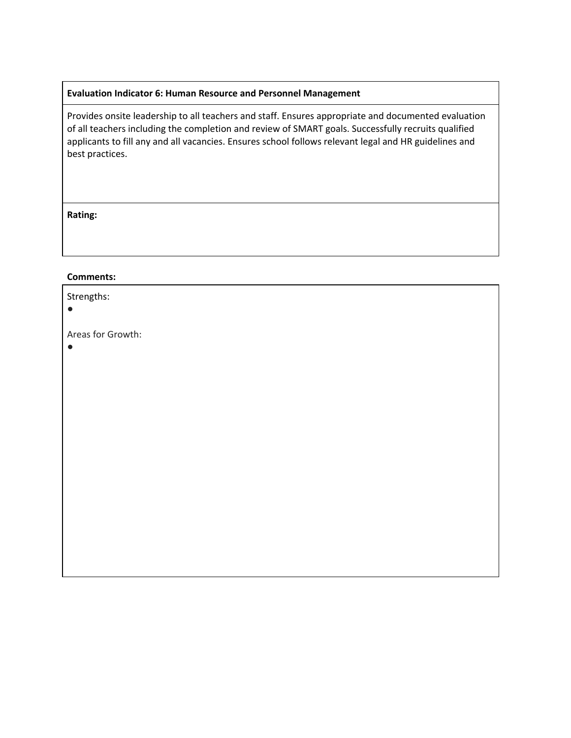#### **Evaluation Indicator 6: Human Resource and Personnel Management**

Provides onsite leadership to all teachers and staff. Ensures appropriate and documented evaluation of all teachers including the completion and review of SMART goals. Successfully recruits qualified applicants to fill any and all vacancies. Ensures school follows relevant legal and HR guidelines and best practices.

#### **Rating:**

#### **Comments:**

| Strengths:        |  |
|-------------------|--|
| Areas for Growth: |  |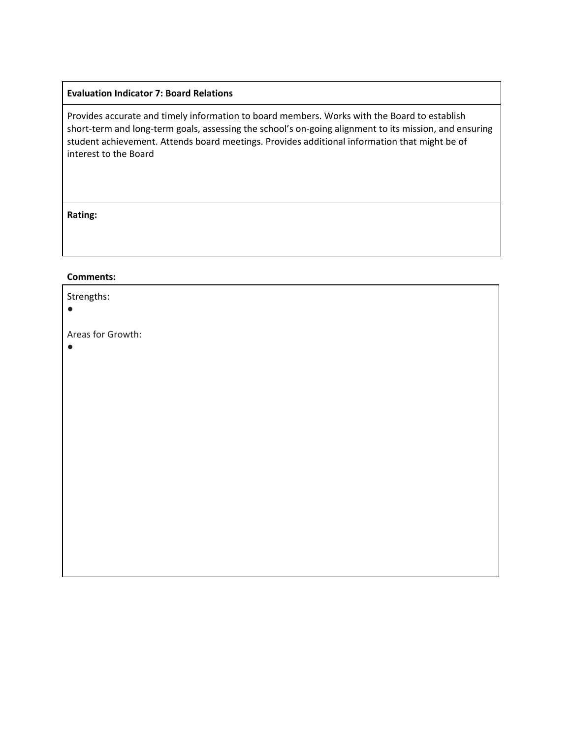#### **Evaluation Indicator 7: Board Relations**

Provides accurate and timely information to board members. Works with the Board to establish short-term and long-term goals, assessing the school's on-going alignment to its mission, and ensuring student achievement. Attends board meetings. Provides additional information that might be of interest to the Board

#### **Rating:**

#### **Comments:**

 $\bullet$ 

| Strengths: |  |
|------------|--|
|            |  |

Areas for Growth: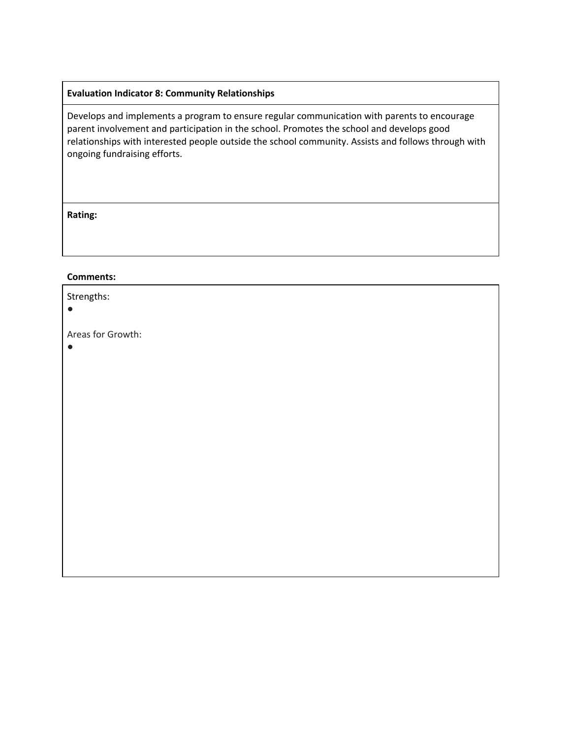# **Evaluation Indicator 8: Community Relationships**

Develops and implements a program to ensure regular communication with parents to encourage parent involvement and participation in the school. Promotes the school and develops good relationships with interested people outside the school community. Assists and follows through with ongoing fundraising efforts.

#### **Rating:**

#### **Comments:**

 $\bullet$ 

| Strengths: |  |
|------------|--|
| $\bullet$  |  |
|            |  |

Areas for Growth: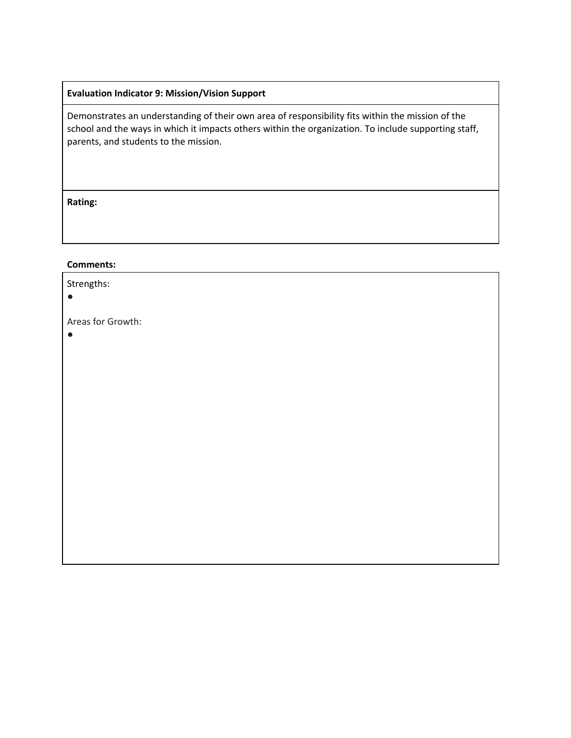# **Evaluation Indicator 9: Mission/Vision Support**

Demonstrates an understanding of their own area of responsibility fits within the mission of the school and the ways in which it impacts others within the organization. To include supporting staff, parents, and students to the mission.

**Rating:**

#### **Comments:**

Strengths:

 $\bullet$ 

Areas for Growth:

●